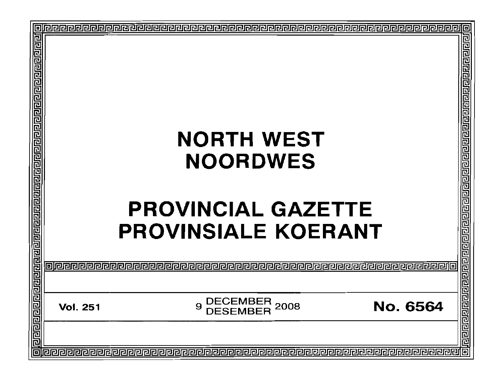| ▣                                                                                  |
|------------------------------------------------------------------------------------|
| elel ele ele ele ele<br><u>गगगगगगगगगगगगगगगगगगगगगगगग</u>                            |
|                                                                                    |
|                                                                                    |
| <u> anaranana </u><br>No. 6564                                                     |
|                                                                                    |
| 靣<br><u>   pereperenden berberende berberenden berberende berberenden berberen</u> |
|                                                                                    |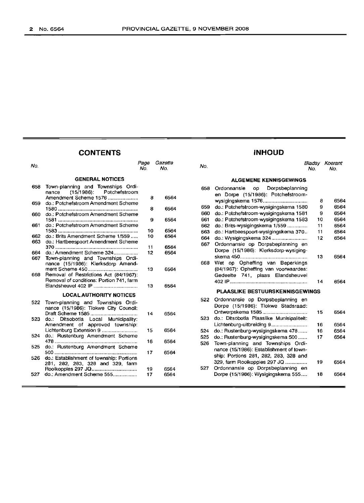## **CONTENTS INHOLID**

| No.        |                                                                                                       | Page<br>No. | Gazette<br>No. | No.        |                                                                                | Bladsv<br>No. | Koerant<br>No. |
|------------|-------------------------------------------------------------------------------------------------------|-------------|----------------|------------|--------------------------------------------------------------------------------|---------------|----------------|
|            | <b>GENERAL NOTICES</b>                                                                                |             |                |            | <b>ALGEMENE KENNISGEWINGS</b>                                                  |               |                |
| 658        | Town-planning and Townships Ordi-<br>$(15/1986)$ :<br>Potchefstroom<br>nance<br>Amendment Scheme 1576 | 8           | 6564           | 658        | Dorpsbeplanning<br>Ordonnansie<br>op<br>en Dorpe (15/1986): Potchefstroom-     |               |                |
| 659        | do.: Potchefstroom Amendment Scheme                                                                   |             |                |            |                                                                                | 8             | 6564<br>6564   |
|            |                                                                                                       | 8           | 6564           | 659<br>660 | do.: Potchefstroom-wysigingskema 1580<br>do.: Potchefstroom-wysigingskema 1581 | 9<br>9        | 6564           |
| 660        | do.: Potchefstroom Amendment Scheme                                                                   | 9           | 6564           | 661        | do.: Potchefstroom-wysigingskema 1583                                          | 10            | 6564           |
| 661        | do.: Potchefstroom Amendment Scheme                                                                   |             |                | 662        | do.: Brits-wysigingskema 1/559                                                 | 11            | 6564           |
|            |                                                                                                       | 10          | 6564           | 663        | do.: Hartbeespoort-wysigingskema 370                                           | 11            | 6564           |
| 662        | do.: Brits Amendment Scheme 1/559                                                                     | 10          | 6564           | 664        |                                                                                | 12            | 6564           |
| 663<br>664 | do.: Hartbeespoort Amendment Scheme<br>do.: Amendment Scheme 324                                      | 11<br>12    | 6564<br>6564   | 667        | Ordonnansie op Dorpsbeplanning en<br>Dorpe (15/1986): Klerksdorp-wysiging-     |               |                |
| 667        | Town-planning and Townships Ordi-<br>nance (15/1986): Klerksdorp Amend-                               |             |                | 668        | Wet op Opheffing van Beperkings                                                | 13            | 6564           |
| 668        | Removal of Restrictions Act (84/1967):<br>Removal of conditions: Portion 741, farm                    | 13          | 6564           |            | (84/1967): Opheffing van voorwaardes:<br>Gedeelte 741, plaas Elandsheuvel      | 14            | 6564           |
|            | Elandsheuvel 402 IP                                                                                   | 13          | 6564           |            | <b>PLAASLIKE BESTUURSKENNISGEWINGS</b>                                         |               |                |
|            | <b>LOCAL AUTHORITY NOTICES</b>                                                                        |             |                |            | 522 Ordonnansie op Dorpsbeplanning en                                          |               |                |
| 522        | Town-planning and Townships Ordi-<br>nance (15/1986): Tlokwe City Council:                            |             |                |            | Dorpe (15/1986): Tlokwe Stadsraad:                                             |               |                |
| 523        | do.: Ditsobotla Local Municipality:                                                                   | 14          | 6564           | 523        | do.: Ditsobotla Plaaslike Munisipaliteit:                                      | 15            | 6564           |
|            | Amendment of approved township:                                                                       |             |                |            | Lichtenburg-uitbreiding 9                                                      | 16            | 6564           |
| 524        | Lichtenburg Extension 9                                                                               | 15          | 6564           | 524        | do.: Rustenburg-wysigingskema 478                                              | 16            | 6564           |
|            | do.: Rustenburg Amendment Scheme                                                                      | 16          | 6564           | 525        | do.: Rustenburg-wysigingskema 500                                              | 17            | 6564           |
| 525        | do.: Rustenburg Amendment Scheme                                                                      | 17          | 6564           | 526        | Town-planning and Townships Ordi-<br>nance (15/1986): Establishment of town-   |               |                |
|            | 526 do.: Establishment of township: Portions<br>281, 282, 283, 328 and 329, farm                      |             |                |            | ship: Portions 281, 282, 283, 328 and<br>329, farm Rooikoppies 297 JQ          | 19            | 6564           |
| 527 -      | do.: Amendment Scheme 555                                                                             | 19<br>17    | 6564<br>6564   | 527        | Ordonnansie op Dorpsbeplanning en<br>Dorpe (15/1986): Wysigingskema 555        | 18            | 6564           |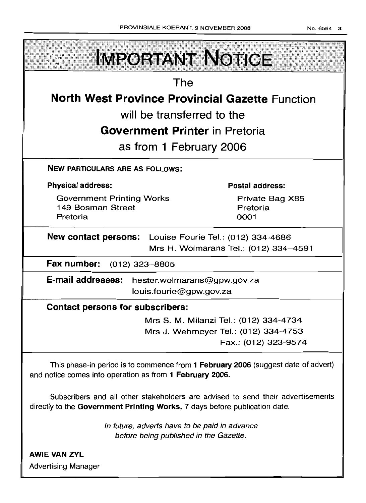| <b>IMPORTANT NOTICE</b>                                 |                                       |  |  |  |  |
|---------------------------------------------------------|---------------------------------------|--|--|--|--|
|                                                         |                                       |  |  |  |  |
| The                                                     |                                       |  |  |  |  |
| <b>North West Province Provincial Gazette Function</b>  |                                       |  |  |  |  |
| will be transferred to the                              |                                       |  |  |  |  |
| <b>Government Printer in Pretoria</b>                   |                                       |  |  |  |  |
| as from 1 February 2006                                 |                                       |  |  |  |  |
|                                                         |                                       |  |  |  |  |
| <b>NEW PARTICULARS ARE AS FOLLOWS:</b>                  |                                       |  |  |  |  |
| <b>Physical address:</b>                                | Postal address:                       |  |  |  |  |
| <b>Government Printing Works</b>                        | Private Bag X85                       |  |  |  |  |
| 149 Bosman Street<br>Pretoria                           | Pretoria                              |  |  |  |  |
|                                                         | 0001                                  |  |  |  |  |
|                                                         |                                       |  |  |  |  |
| New contact persons: Louise Fourie Tel.: (012) 334-4686 |                                       |  |  |  |  |
|                                                         | Mrs H. Wolmarans Tel.: (012) 334-4591 |  |  |  |  |
| Fax number:<br>$(012)$ 323-8805                         |                                       |  |  |  |  |
| E-mail addresses: hester.wolmarans@gpw.gov.za           |                                       |  |  |  |  |
| louis.fourie@gpw.gov.za                                 |                                       |  |  |  |  |
| <b>Contact persons for subscribers:</b>                 |                                       |  |  |  |  |

Mrs J. Wehmeyer Tel.: (012) 334-4753 Fax.: (012) 323-9574

This phase-in period is to commence from 1 February 2006 (suggest date of advert) and notice comes into operation as from 1 February 2006.

Subscribers and all other stakeholders are advised to send their advertisements directly to the Government Printing Works, 7 days before publication date.

> In future, adverts have to be paid in advance before being published in the Gazette.

AWIE VAN ZVL Advertising Manager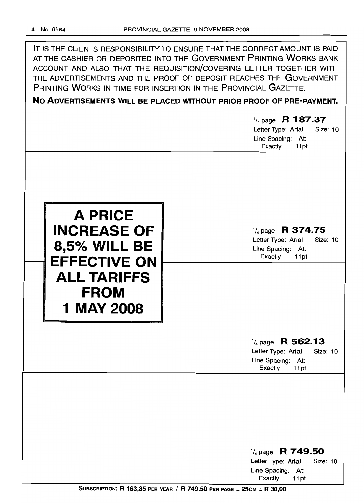IT IS THE CLIENTS RESPONSIBILITY TO ENSURE THAT THE CORRECT AMOUNT IS PAID AT THE CASHIER OR DEPOSITED INTO THE GOVERNMENT PRINTING WORKS BANK ACCOUNT AND ALSO THAT THE REQUISITION/COVERING LETTER TOGETHER WITH THE ADVERTISEMENTS AND THE PROOF OF DEPOSIT REACHES THE GOVERNMENT PRINTING WORKS IN TIME FOR INSERTION IN THE PROVINCIAL GAZETTE.

**No ADVERTISEMENTS WILL BE PLACED WITHOUT PRIOR PROOF OF PRE-PAYMENT.**

## 1/4 page **R 187.37**

Letter Type: Arial Size: 10 Line Spacing: At: Exactly 11 pt



1/4page **R 374.75** Letter Type: Arial Size: 10

Line Spacing: At: Exactly 11pt

## 1/4page **R 562.13**

Letter Type: Arial Size: 10 Line Spacing: At: Exactly 11pt

1/4 page R **749.50** Letter Type: Arial Size: 10 Line Spacing: At: Exactly 11 pt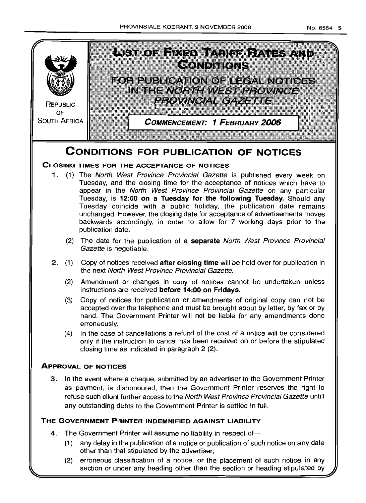

(2) erroneous classification of a notice, or the placement of such notice in any section or under any heading other than the section or heading stipulated by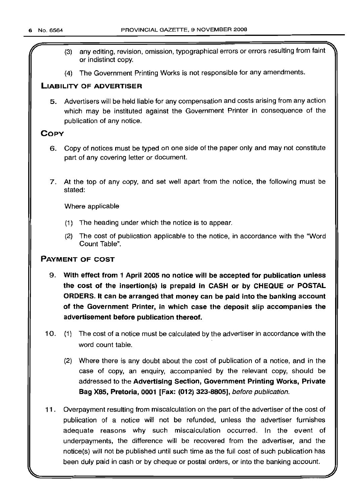- r (3) any editing, revision, omission, typographical errors or errors resulting from faint or indistinct copy.
- (4) The Government Printing Works is not responsible for any amendments.

## LIABILITY OF ADVERTISER

5. Advertisers will be held liable for any compensation and costs arising from any action which may be instituted against the Government Printer in consequence of the publication of any notice.

## **COPY**

- 6. Copy of notices must be typed on one side of the paper only and may not constitute part of any covering letter or document.
- 7. At the top of any copy, and set well apart from the notice, the following must be stated:

Where applicable

- (1) The heading under which the notice is to appear.
- (2) The cost of publication applicable to the notice, in accordance with the "Word Count Table".

## PAYMENT OF COST

- 9. With effect from 1 April 2005 no notice will be accepted for publication unless the cost of the insertion(s) is prepaid in CASH or by CHEQUE or POSTAL ORDERS. It can be arranged that money can be paid into the banking account of the Government Printer, in which case the deposit slip accompanies the advertisement before publication thereof.
- 10. (1) The cost of a notice must be calculated by the advertiser in accordance with the word count table.
	- (2) Where there is any doubt about the cost of publication of a notice, and in the case of copy, an enquiry, accompanied by the relevant copy, should be addressed to the Advertising Section, Government Printing Works, Private Bag X85, Pretoria, 0001 [Fax: (012) 323-8805], before publication.
- 11 . Overpayment resulting from miscalculation on the part of the advertiser of the cost of publication of a notice will not be refunded, unless the advertiser furnishes adequate reasons why such miscalculation occurred. In the event of underpayments, the difference will be recovered from the advertiser, and the notice(s) will not be published until such time as the full cost of such publication has been duly paid in cash or by cheque or postal orders, or into the banking account.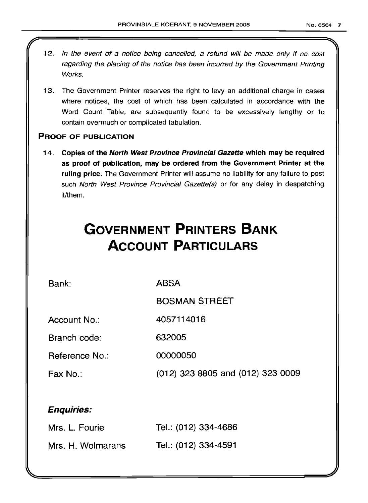- 12. In the event of a notice being cancelled, a refund will be made only if no cost regarding the placing of the notice has been incurred by the Government Printing Works.
- 13. The Government Printer reserves the right to levy an additional charge in cases where notices, the cost of which has been calculated in accordance with the Word Count Table, are subsequently found to be excessively lengthy or to contain overmuch or complicated tabulation.

## PROOF OF PUBLICATION

14. Copies of the North West Province Provincial Gazette which may be required as proot of publication, may be ordered from the Government Printer at the ruling price. The Government Printer will assume no liability for any failure to post such North West Province Provincial Gazette(s) or for any delay in despatching it/them.

# **GOVERNMENT PRINTERS BANK ACCOUNT PARTICULARS**

Bank:

ABSA

BOSMAN STREET

Account No.: 4057114016

Branch code: 632005

Reference No.: 00000050

Fax No.: (012) 323 8805 and (012) 323 0009

## Enquiries:

| Mrs. L. Fourie    | Tel.: (012) 334-4686 |
|-------------------|----------------------|
| Mrs. H. Wolmarans | Tel.: (012) 334-4591 |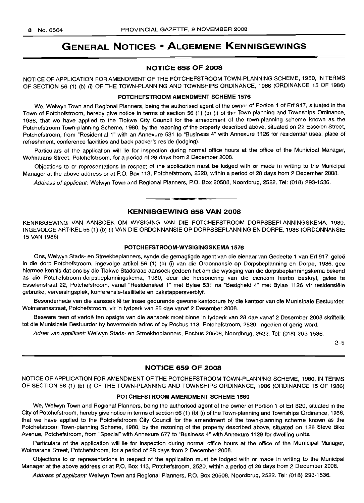## **GENERAL NOTICES • ALGEMENE KENNISGEWINGS**

## **NOTICE 658 OF 2008**

NOTICE OF APPLICATION FOR AMENDMENT OF THE POTCHEFSTROOM TOWN-PLANNING SCHEME, 1980, IN TERMS OF SECTION 56 (1) (b) (i) OF THE TOWN-PLANNING AND TOWNSHIPS ORDINANCE, 1986 (ORDINANCE 15 OF 1986)

#### **POTCHEFSTROOM AMENDMENT SCHEME 1576**

We, Welwyn Town and Regional Planners, being the authorised agent of the owner of Portion 1 of Erf 917, situated in the Town of Potchefstroom, hereby give notice in terms of section 56 (1) (b) (i) of the Town-planning and Townships Ordinance, 1986, that we have applied to the Tlokwe City Council for the amendment of the town-planning scheme known as the Potchefstroom Town-planning Scheme, 1980, by the rezoning of the property described above, situated on 22 Esselen Street, Potchefstroom, from "Residential 1" with an Annexure 531 to "Business 4" with Annexure 1126 for residential uses, place of refreshment, conference facilities and back packer's reside (lodging).

Particulars of the application will lie for inspection during normal office hours at the office of the Municipal Manager, Wolmarans Street, Potchefstroom, for a period of 28 days from 2 December 2008.

Objections to or representations in respect of the application must be lodged with or made in writing to the Municipal Manager at the above address or at P.O. Box 113, Potchefstroom, 2520, within a period of 28 days from 2 December 2008.

Address of applicant: Welwyn Town and Regional Planners, P.O. Box 20508, Noordbrug, 2522. Tel: (018) 293-1536.

## **KENNISGEWING 658 VAN 2008**

• **• •**

KENNISGEWING VAN AANSOEK OM WYSIGING VAN DIE POTCHEFSTROOM DORPSBEPLANNINGSKEMA, 1980, INGEVOLGE ARTIKEL 56 (1) (b) (i) VAN DIE ORDONNANSIE OP DORPSBEPLANNING EN DORPE, 1986 (ORDONNANSIE 15 VAN 1986)

## **POTCHEFSTROOM-WVSIGINGSKEMA 1576**

Ons, Welwyn Stads- en Streekbeplanners, synde die gemagtigde agent van die eienaar van Gedeelte 1 van Erf 917, gelee in die dorp Potchefstroom, ingevolge artikel 56 (1) (b) (i) van die Ordonnansie op Dorpsbeplanning en Darpe, 1986, gee hiermee kennis dat ons by die Tlokwe Stadsraad aansoek gedoen het om die wysiging van die dorpsbeplanningskema bekend as die Potchefstroom-dorpsbeplanningskema, 1980, deur die hersonering van die eiendom hierbo beskryf, gelee te Esselenstraat 22, Potchefstroom, vanaf "Residensieel 1" met Bylae 531 na "Besigheid 4" met Bylae 1126 vir residensiele gebruike, verversingsplek, konferensie-fasiliteite en pakstappersverblyf.

Besonderhede van die aansoek lê ter insae gedurende gewone kantoorure by die kantoor van die Munisipale Bestuurder, Wolmaransstraat, Potchefstroom, vir 'n tydperk van 28 dae vanaf 2 Desember 2008.

Besware teen of vertoe ten opsigte van die aansoek moet binne 'n tydperk van 28 dae vanaf 2 Desember 2008 skriftelik tot die Munisipale Bestuurder by bovermelde adres of by Posbus 113, Potchefstroom, 2520, ingedien of gerig word.

Adres van applikant: Welwyn Stads- en Streekbeplanners, Posbus 20508, Noordbrug, 2522. Tel: (018) 293-1536.

2-9

## **NOTICE 659 OF 2008**

NOTICE OF APPLICATION FOR AMENDMENT OF **THE** POTCHEFSTROOM TOWN-PLANNING SCHEME, 1980, IN TERMS OF SECTION 56 (1) (b) (i) OF THE TOWN-PLANNING AND TOWNSHIPS ORDINANCE, 1986 (ORDINANCE 15 OF 1986)

## **POTCHEFSTROOM AMENDMENT SCHEME 1580**

We, Welwyn Town and Regional Planners, being the authorised agent of the owner of Portion 1 of Erf 820, situated in the City of Potchefstroom, hereby give notice in terms of section 56 (1) (b) (i) of the Town-planning and Townships Ordinance, 1986, that we have applied to the Potchefstroom City Council for the amendment of the town-planning scheme known as the Potchefstroom Town-planning Scheme, 1980, by the rezoning of the property described above, situated on 126 Steve Biko Avenue, Potchefstroom, from "Special" with Annexure 677 to "Business 4" with Annexure 1129 for dwelling units.

Particulars of the application will lie for inspection during normal office hours at the office of the Municipal Manager, Wolmarans Street, Potchefstroom, for a period of 28 days from 2 December 2008.

Objections to or representations in respect of the application must be lodged with or made in writing to the Municipal Manager at the above address or at P.O. Box 113, Potchefstroom, 2520, within a period of 28 days from 2 December 2008.

Address of applicant: Welwyn Town and Regional Planners, P.O. Box 20508, Noordbrug, 2522. Tel: (018) 293-1536.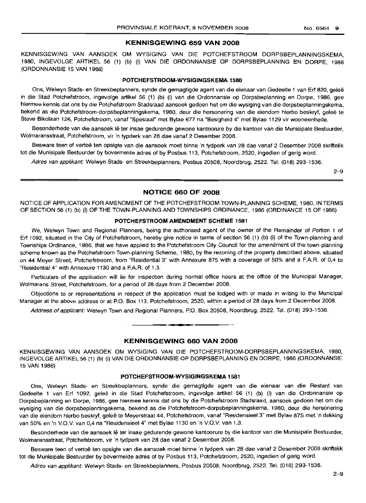#### **KENNISGEWING 659 VAN 2008**

KENNISGEWING VAN AANSOEK OM WYSIGING VAN DIE POTCHEFSTROOM DORPSBEPLANNINGSKEMA, 1980, INGEVOLGE ARTIKEL 56 (1) (b) (i) VAN DIE ORDONNANSIE OP DORPSBEPLANNING EN DORPE, 1986 (ORDONNANSIE 15 VAN 1986)

## **POTCHEFSTROOM-WYSIGINGSKEMA 1580**

Ons, Welwyn Stads- en Streekbeplanners, synde die gemagtigde agent van die eienaar van Gedeelte 1 van Erf 820, gelee in die Stad Potchefstroom, ingevolge artikel 56 (1) (b) (i) van die Ordonnansie op Dorpsbeplanning en Dorpe, 1986, gee hiermee kennis dat ons by die Potchefstroom Stadsraad aansoek gedoen het om die wysiging van die dorpsbeplanningskema, bekend as die Potchefstroom-dorpsbeplanningskema, 1980, deur die hersonering van die eiendom hierbo beskryf, geleë te Steve Bikolaan 126, Potchefstroom, vanaf "Spesiaal" met Bylae 677 na "Besigheid 4" met Bylae 1129 vir wooneenhede.

Besonderhede van die aansoek lê ter insae gedurende gewone kantoorure by die kantoor van die Munisipale Bestuurder, Wolmaransstraat, Potchefstroom, vir 'n typderk van 28 dae vanaf 2 Desember 2008.

Besware teen of vertoe ten opsigte van die aansoek moet binne 'n tydperk van 28 dae vanaf 2 Desember 2008 skriftelik tot die Munisipale Bestuurder by bovermelde adres of by Posbus 113, Potchefstroom, 2520, ingedien of gerig word.

Adres van applikant: Welwyn Stads- en Streekbeplanners, Posbus 20508, Noordbrug, 2522. Tel: (018) 293-1536.

2-9

## **NOTICE 660 OF 2008**

NOTICE OF APPLICATION FOR AMENDMENT OF THE POTCHEFSTROOM TOWN-PLANNING SCHEME, 1980, IN TERMS OF SECTION 56 (1) (b) (i) OF THE TOWN-PLANNING AND TOWNSHIPS ORDINANCE, 1986 (ORDINANCE 15 OF 1986)

#### **POTCHEFSTROOM AMENDMENT SCHEME 1581**

We, Welwyn Town and Regional Planners, being the authorised agent of the owner of the Remainder of Portion 1 of Erf 1092, situated in the City of Potchefstroom, hereby give notice in terms of section 56 (1) (b) (i) of the Town-planning and Townships Ordinance, '1986, that we have applied to the Potchefstroom City Council for the amendment of the town-planning scheme known as the Potchefstroom Town-planning Scheme, 1980, by the rezoning of the property described above, situated on 44 Meyer Street, Potchefstroom, from "Residential 3" with Annexure 875 with a coverage of 50% and a F.A.R. of 0,4 to "Residential 4" with Annexure 1130 and a F.A.R. of 1.3.

Particulars of the application will lie for inspection during normal office hours at the office of the Municipal Manager, Wolmarans Street, Potchefstroom, for a period of 28 days from 2 December 2008.

Objections to or representations in respect of the application must be lodged with or made in writing to the Municipal Manager at the above address or at P.O. Box 113, Potchefstroom, 2520, within a period of 28 days from 2 December 2008.

Address of applicant: Welwyn Town and Regional Planners, P.O. Box 20508, Noordbrug, 2522. Tel. (018) 293-1536.

## **KENNISGEWING 660 VAN 2008**

• **• •**

KENNISGEWING VAN AANSOEK OM WYSIGING VAN DIE POTCHEFSTROOM-DORPSBEPLANNINGSKEMA, 1980, INGEVOLGE ARTIKEL 56 (1) (b) (i) VAN DIE ORDONNANSIE OP DORPSBEPLANNING EN DORPE, 1986 (ORDONNANSIE 15 VAN 1986)

## **POTCHEFSTROOM·WYSIGINGSKEMA 1581**

Ons, Welwyn Stads- en Streekbeplanners, synde die gemagtigde agent van die eienaar van die Restant van Gedeelte 1 van Erf 1092, geleë in die Stad Potchefstroom, ingevolge artikel 56 (1) (b) (i) van die Ordonnansie op Dorpsbeplanning en Dorpe, 1986, gee hiermee kennis dat ons by die Potchefstroom Stadsraad, aansoek gedoen het om die wysiging van die dorpsbeplanningskema, bekend as die Potchefstroom-dorpsbeplanningskema, 1980, deur die hersonering van die eiendom hierbo beskryf, geleë te Meyerstraat 44, Potchefstroom, vanaf "Residensieel 3" met Bylae 875 met 'n dekking van 50% en 'n V.O.V. van 0,4 na "Residensieel 4" met Bylae 1130 en 'n V.O.V. van 1.3.

Besonderhede van die aansoek lê ter insae gedurende gewone kantoorure by die kantoor van die Munisipale Bestuurder, Wolmaransstraat, Potchefstroom, vir 'n tydperk van 28 dae vanaf 2 Desember 2008.

Besware teen of vertoë ten opsigte van die aansoek moet binne 'n tydperk van 28 dae vanaf 2 Desember 2008 skriftelik tot die Munisipale Bestuurder by bovermelde adres of by Posbus 113, Potchefstroom, 2520, ingedien of gerig word.

Adres van applikant: Welwyn Stads- en Streekbeplanners, Posbus 20508, Noordbrug, 2522. Tel. (018) 293-1536.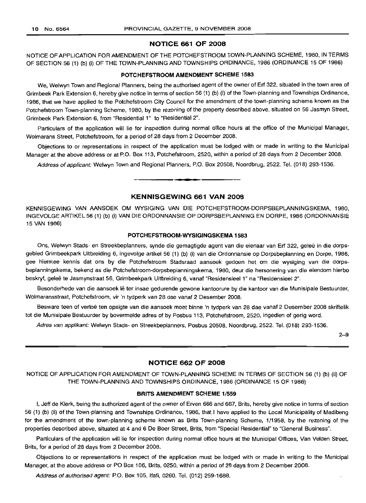## **NOTICE 661 OF 2008**

NOTICE OF APPLICATION FOR AMENDMENT OF THE POTCHEFSTROOM TOWN-PLANNING SCHEME, 1980, IN TERMS OF SECTION 56 (1) (b) (i) OF THE TOWN-PLANNING AND TOWNSHIPS ORDINANCE, 1986 (ORDINANCE 15 OF 1986)

## **POTCHEFSTROOM AMENDMENT SCHEME 1583**

We, Welwyn Town and Regional Planners, being the authorised agent of the owner of Erf 322, situated in the town area of Grimbeek Park Extension 6, hereby give notice in terms of section 56 (1) (b) (i) of the Town-planning and Townships Ordinance, 1986, that we have applied to the Potchefstroom City Council for the amendment of the town-planning scheme known as the Potchefstroom Town-planning Scheme, 1980, by the rezoning of the property described above, situated on 56 Jasmyn Street, Grimbeek Park Extension 6, from "Residential 1" to "Residential 2".

Particulars of the application will lie for inspection during normal office hours at the office of the Municipal Manager, Wolmarans Street, Potchefstroom, for a period of 28 days from 2 December 2008.

Objections to or representations in respect of the application must be lodged with or made in writing to the Municipal Manager at the above address or at P.O. Box 113, Potchefstroom, 2520, within a period of 28 days from 2 December 2008.

Address of applicant: Welwyn Town and Regional Planners, P.O. Box 20508, Noordbrug, 2522. Tel. (018) 293-1536.

**. -**

## **KENNISGEWING 661 VAN 2008**

KENNISGEWING VAN AANSOEK OM WYSIGING VAN DIE POTCHEFSTROOM-DORPSBEPLANNINGSKEMA, 1980, INGEVOLGE ARTIKEL 56 (1) (b) (i) VAN DIE ORDONNANSIE OP DORPSBEPLANNING EN DORPE, 1986 (ORDONNANSIE 15 VAN 1986)

## **POTCHEFSTROOM·WYSIGINGSKEMA 1583**

Ons, Welwyn Stads- en Streekbeplanners, synde die gemagtigde agent van die eienaar van Erf 322, gelee in die dorpsgebied Grimbeekpark Uitbreiding 6, ingevolge artikel 56 (1) (b) (i) van die Ordonnansie op Dorpsbeplanning en Dorpe, 1986, gee hiermee kennis dat ons by die Potchefstroom Stadsraad aansoek gedoen het om die wysiging van die dorpsbeplanningskema, bekend as die Potchefstroom-dorpsbeplanningskema, 1980, deur die hersonering van die eiendom hierbo beskryf, geleë te Jasmynstraat 56, Grimbeekpark Uitbreiding 6, vanaf "Residensieel 1" na "Residensieel 2".

Besonderhede van die aansoek lê ter insae gedurende gewone kantoorure by die kantoor van die Munisipale Bestuurder, Wolmaransstraat, Potchefstroom, vir 'n tydperk van 28 dae vanaf 2 Desember 2008.

Besware teen of vertoë ten opsigte van die aansoek moet binne 'n tydperk van 28 dae vanaf 2 Desember 2008 skriftelik tot die Munisipale Bestuurder by bovermelde adres of by Posbus 113, Potchefstroom, 2520, ingedien of gerig word.

Adres van applikant: Welwyn Stads- en Streekbeplanners, Posbus 20508, Noordbrug, 2522. Tel. (018) 293-1536.

2-9

## **NOTICE 662 OF 2008**

NOTICE OF APPLICATION FOR AMENDMENT OF TOWN-PLANNING SCHEME IN TERMS OF SECTION 56 (1) (b) (ii) OF THE TOWN-PLANNING AND TOWNSHIPS ORDINANCE, 1986 (ORDINANCE 15 OF 1986)

## **BRITS AMENDMENT SCHEME** 1/559

I, Jeff de Klerk, being the authorized agent of the owner of Erven 666 and 667, Brits, hereby give notice in terms of section 56 (1) (b) (ii) of the Town-planning and Townships Ordinance, 1986, that I have applied to the Local Municipality of Madibeng for the amendment of the town-planning scheme known as Brits Town-planning Scheme, 1/1958, by the rezoning of the properties described above, situated at 4 and 6 De Boer Street, Brits, from "Special Residential" to "General Business".

Particulars of the application will lie for inspection during normal office hours at the Municipal Offices, Van Velden Street, Brits, for a period of 28 days from 2 December 2008.

Objections to or representations in respect of the application must be lodged with or made in writing to the Municipal Manager, at the above address or PO Box 106, Brits, 0250, within a period of 28 days from 2 December 2008.

Address of authorised agent: P.O. Box 105, Ifafi, 0260. Tel. (012) 259-1688.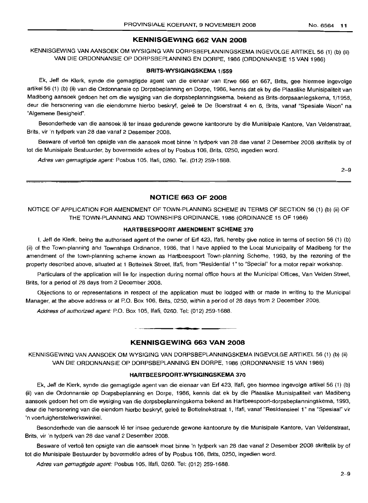#### **KENNISGEWING 662 VAN 2008**

KENNISGEWING VAN AANSOEK OM WYSIGING VAN DORPSBEPLANNINGSKEMA INGEVOLGE ARTIKEL 56 (1) (b) (ii) VAN DIE ORDONNANSIE OP DORPSBEPLANNING EN DORPE, 1986 (ORDONNANSIE 15 VAN 1986)

#### **BRITS-WYSIGINGSKEMA** 1/559

Ek, Jeff de Klerk, synde die gemagtigde agent van die eienaar van Erwe 666 en 667, Brits, gee hiermee ingevolge artikel 56 (1) (b) (ii) van die Ordonnansie op Dorpsbeplanning en Dorpe, 1986, kennis dat ek by die Plaaslike Munisipaliteit van Madibeng aansoek gedoen het om die wysiging van die dorpsbeplanningskema, bekend as Brits-dorpsaanlegskema, 1/1958, deur die hersonering van die eiendomme hierbo beskryf, geleë te De Boerstraat 4 en 6, Brits, vanaf "Spesiale Woon" na "Algemene Besigheid".

Besonderhede van die aansoek Ie ter insae gedurende gewone kantoorure by die Munisipale Kantore, Van Veldenstraat, Brits, vir 'n tydperk van 28 dae vanaf 2 Desember 2008.

Besware of vertoë ten opsigte van die aansoek moet binne 'n tydperk van 28 dae vanaf 2 Desember 2008 skriftelik by of tot die Munisipale Bestuurder, by bovermelde adres of by Posbus 106, Brits, 0250, ingedien word.

Adres van gemagtigde agent: Posbus 105, Ifafi, 0260. Tel. (012) 259-1688.

2-9

## **NOTICE 663 OF 2008**

NOTICE OF APPLICATION FOR AMENDMENT OF TOWN-PLANNING SCHEME IN TERMS OF SECTION 56 (1) (b) (ii) OF THE TOWN-PLANNING AND TOWNSHIPS ORDINANCE, 1986 (ORDINANCE 15 OF 1986)

## **HARTBEESPOORT AMENDMENT SCHEME 370**

I, Jeff de Klerk, being the authorised agent of the owner of Erf 423, Ifafi, hereby give notice in terms of section 56 (1) (b) (ii) of the Town-planning and Townships Ordinance, 1986, that I have applied to the Local Municipality of Madibeng for the amendment of the town-planning scheme known as Hartbeespoort Town-planning Scheme, 1993, by the rezoning of the property described above, situated at 1 Bottelnek Street, Ifafi, from "Residential 1" to "Special" for a motor repair workshop.

Particulars of the application will lie for inspection during normal office hours at the Municipal Offices, Van Velden Street, Brits, for a period of 28 days from 2 December 2008.

Objections to or representations in respect of the application must be lodged with or made in writing to the Municipal Manager, at the above address or at P.O. Box 106, Brits, 0250, within a period of 28 days from 2 December 2008.

Address of authorized agent: P.O. Box 105, Ifafi, 0260. Tel: (012) 259-1688.

## **KENNISGEWING 663 VAN 2008**

**•**

KENNISGEWING VAN AANSOEK OM WYSIGING VAN DORPSBEPLANNINGSKEMA INGEVOLGE ARTIKEL 56 (1) (b) (ii) VAN DIE ORDONNANSIE OP DORPSBEPLANNING EN DORPE, 1986 (ORDONNANSIE 15 VAN 1986)

#### **HARTBEESPOORT-WYSIGINGSKEMA 370**

Ek, Jeff de Klerk, synde die gemagtigde agent van die eienaar van Erf 423, Ifafi, gee hiermee ingevolge artikel 56 (1) (b) (ii) van die Ordonnansie op Dorpsbeplanning en Dorpe, 1986, kennis dat ek by die Plaaslike Munisipaliteit van Madibeng aansoek gedoen het om die wysiging van die dorpsbeplanningskema bekend as Hartbeespoort-dorpsbeplanningskema, 1993, deur die hersonering van die eiendom hierbo beskryf, geleë te Bottelnekstraat 1, Ifafi, vanaf "Residensieel 1" na "Spesiaal" vir 'n voertuigherstelwerkswinkel.

Besonderhede van die aansoek lê ter insae gedurende gewone kantoorure by die Munisipale Kantore, Van Veldenstraat, Brits, vir 'n tydperk van 28 dae vanaf 2 Desember 2008.

Besware of vertoë ten opsigte van die aansoek moet binne 'n tydperk van 28 dae vanaf 2 Desember 2008 skriftelik by of tot die Munisipale Bestuurder by bovermelde adres of by Posbus 106, Brits, 0250, ingedien word.

Adres van gemagtigde agent: Posbus 105, Ifafi, 0260. Tel: (012) 259-1688.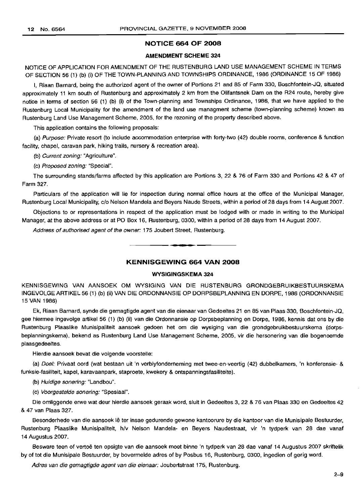## **NOTICE 664 OF 2008**

## **AMENDMENT SCHEME 324**

NOTICE OF APPLICATION FOR AMENDMENT OF THE RUSTENBURG LAND USE MANAGEMENT SCHEME IN TERMS OF SECTION 56 (1) (b) (i) OF THE TOWN-PLANNING AND TOWNSHIPS ORDINANCE, 1986 (ORDINANCE 15 OF 1986)

I, Riaan Barnard, being the authorized agent of the owner of Portions 21 and 85 of Farm 330, Boschfontein-JQ, situated approximately 11 km south of Rustenburg and approximately 2 km from the Olifantsnek Dam on the R24 route, hereby give notice in terms of section 56 (1) (b) (i) of the Town-planning and Townships Ordinance, 1986, that we have applied to the Rustenburg Local Municipality for the amendment of the land use managment scheme (town-planning scheme) known as Rustenburg Land Use Management Scheme, 2005, for the rezoning of the property described above.

This application contains the following proposals:

(a) Purpose: Private resort (to include accommodation enterprise with forty-two (42) double rooms, conference & function facility, chapel, caravan park, hiking trails, nursery & recreation area).

(b) Current zoning: "Agriculture".

(c) Proposed zoning: "Special".

The surrounding stands/farms affected by this application are Portions 3, 22 & 76 of Farm 330 and Portions 42 & 47 of Farm 327.

Particulars of the application will lie for inspection during normal office hours at the office of the Municipal Manager, Rustenburg Local Municipality, c/o Nelson Mandela and Beyers Naude Streets, within a period of 28 days from 14 August 2007.

Objections to or representations in respect of the application must be lodged with or made in writing to the Municipal Manager, at the above address or at PO Box 16, Rustenburg, 0300, within a period of 28 days from 14 August 2007.

Address of authorised agent of the owner: 175 Joubert Street, Rustenburg.

## **KENNISGEWING 664 VAN 2008**

**•**

## **WYSIGINGSKEMA 324**

KENNISGEWING VAN AANSOEK OM WYSIGING VAN DIE RUSTENBURG GRONDGEBRUIKBESTUURSKEMA INGEVOLGE ARTIKEL 56 (1) (b) (ii) VAN DIE ORDONNANSIE OP DORPSBEPLANNING EN DORPE, 1986 (ORDONNANSIE 15 VAN 1986)

Ek, Riaan Barnard, synde die gemagtigde agent van die eienaar van Gedeeltes 21 en 85 van Plaas 330, Boschfontein-JQ, gee hiermee ingevolge artikel 56 (1) (b) (ii) van die Ordonnansie op Dorpsbeplanning en Dorpe, 1986, kennis dat ons by die Rustenburg Plaaslike Munisipaliteit aansoek gedoen het om die wysiging van die grondgebruikbestuurskema (dorpsbeplanningskema), bekend as Rustenburg Land Use Management Scheme, 2005, vir die hersonering van die bogenoemde plaasgedeeltes.

Hierdie aansoek bevat die volgende voorstelle:

(a) Doel: Privaat oord (wat bestaan uit 'n verblyfonderneming met twee-en-veertig (42) dubbelkamers, 'n konferensie- & funksie-fasiliteit, kapel, karavaanpark, staproete, kwekery & ontspanningsfasiliteite).

(b) Huidige sonering: "Landbou".

(c) Voorgestelde sonering: "Spesiaal".

Die omliggende erwe wat deur hierdie aansoek geraak word, sluit in Gedeeltes 3, 22 & 76 van Plaas 330 en Gedeeltes 42 & 47 van Plaas 327.

Besonderhede van die aansoek lê ter insae gedurende gewone kantoorure by die kantoor van die Munisipale Bestuurder, Rustenburg Plaaslike Munisipaliteit, h/v Nelson Mandela- en Beyers Naudestraat, vir 'n tydperk van 28 dae vanaf 14 Augustus 2007.

Besware teen of vertoë ten opsigte van die aansoek moet binne 'n tydperk van 28 dae vanaf 14 Augustus 2007 skriftelik by of tot die Munisipale Bestuurder, by bovermelde adres of by Posbus 16, Rustenburg, 0300, ingedien of gerig word.

Adres van die gemagtigde agent van die eienaar: Joubertstraat 175, Rustenburg.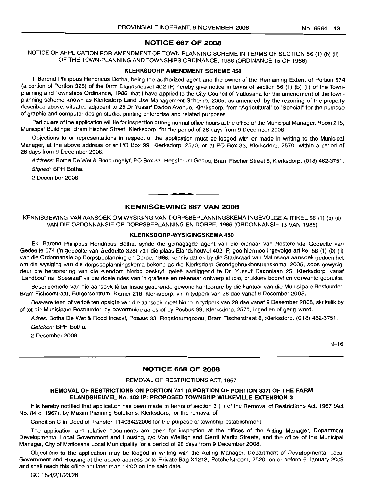## **NOTICE 667 OF 2008**

NOTICE OF APPLICATION FOR AMENDMENT OF TOWN-PLANNING SCHEME IN TERMS OF SECTION 56 (1) (b) (ii) OF THE TOWN-PLANNING AND TOWNSHIPS ORDINANCE, 1986 (ORDINANCE 15 OF 1986)

## **KLERKSDORP AMENDMENT SCHEME 450**

I, Barend Philippus Hendricus Botha, being the authorized agent and the owner of the Remaining Extent of Portion 574 (a portion of Portion 328) of the farm Elandsheuvel 402 IP, hereby give notice in terms of section 56 (1) (b) (ii) of the Townplanning and Townships Ordinance, 1986, that I have applied to the City Council of Matlosana for the amendment of the townplanning scheme known as Klerksdorp Land Use Management Scheme, 2005, as amended, by the rezoning of the property described above, situated adjacent to 25 Dr Yussuf Dadoo Avenue, Klerksdorp, from "Agricultural" to "Special" for the purpose of graphic and computer design studio, printing enterprise and related purposes.

Particulars of the application will lie for inspection during normal office hours at the office of the Municipal Manager, Room 218, Municipal Buildings, Bram Fischer Street, Klerksdorp, for the period of 28 days from 9 December 2008.

Objections to or representations in respect of the application must be lodged with or made in writing to the Municipal Manager, at the above address or at PO Box 99, Klerksdorp, 2570, or at PO Box 33, Klerksdorp, 2570, within a period of 28 days from 9 December 2008.

Address: Botha De Wet & Rood Ingelyf, PO Box 33, Regsforum Gebou, Bram Fischer Street 8, Klerksdorp. (018) 462-3751. Signed: BPH Botha.

2 December 2008.

## **KENNISGEWING 667 VAN 2008**

**• •**

KENNISGEWING VAN AANSOEK OM WYSIGING VAN DORPSBEPLANNINGSKEMA INGEVOLGE ARTIKEL 56 (1) (b) (ii) VAN DIE ORDONNANSIE OP DORPSBEPLANNING EN DORPE, 1986 (ORDONNANSIE 15 VAN 1986)

## **KLERKSDORP-WYSIGINGSKEMA 450**

Ek, Barend Philippus Hendricus Botha, synde die gemagtigde agent van die eienaar van Resterende Gedeelte van Gedeelte 574 ('n gedeelte van Gedeelte 328) van die plaas Elandsheuvel 402 IP, gee hiermee ingevolge artikel 56 (1) (b) (ii) van die Ordonnansie op Dorpsbeplanning en Dorpe, 1986, kennis dat ek by die Stadsraad van Matlosana aansoek gedoen het om die wysiging van die dorpsbeplanningskema bekend as die Klerksdorp Grondgebruikbestuurskema, 2005, soos gewysig, deur die hersonering van die eiendom hierbo beskryf, gelee aanliggend te Dr. Yussuf Dadoolaan 25, Klerksdorp, vanaf "Landbou" na "Spesiaal" vir die doeleindes van 'n grafiese en rekenaar ontwerp studio, drukkery bedryf en verwante gebruike.

Besonderhede van die aansoek lê ter insae gedurende gewone kantoorure by die kantoor van die Munisipale Bestuurder, Bram Fishcerstraat, Burgersentrum, Kamer 218, Klerksdorp, vir 'n tydperk van 28 dae vanaf 9 Desember 2008.

Besware teen of vertoe ten opsigte van die aansoek moet binne 'n tydperk van 28 dae vanaf 9 Desember 2008, skriftelik by of tot die Munisipale Bestuurder, by bovermelde adres of by Posbus 99, Klerksdorp, 2570, ingedien of gerig word.

Adres: Botha De Wet & Rood Ingelyf, Posbus 33, Regsforumgebou, Bram Fischerstraat 8, Klerksdorp. (018) 462-3751. Geteken: BPH Botha.

2 Desember 2008.

9-16

## **NOTICE 668 OF 2008**

## REMOVAL OF RESTRICTIONS ACT, 1967

## **REMOVAL OF RESTRICTIONS ON PORTION 741 (A PORTION OF PORTION 337) OF THE FARM ELANDSHEUVEL No. 402 IP: PROPOSED TOWNSHIP WILKEVILLE EXTENSION 3**

It is hereby notified that application has been made in terms of section 3 (1) of the Removal of Restrictions Act, 1967 (Act No. 84 of 1967), by Maxim Planning Solutions, Klerksdorp, for the removal of:

Condition C in Deed of Transfer T140342/2006 for the purpose of township establishment.

The application and relative documents are open for inspection at the offices of the Acting Manager, Department Developmental Local Government and Housing, c/o Von Wielligh and Gerrit Maritz Streets, and the office of the Municipal Manager, City of Matlosana Local Municipality for a period of 28 days from 9 December 2008.

Objections to the application may be lodged in writing with the Acting Manager, Department of Developmental Local Government and Housing at the above address or to Private Bag X1213, Potchefstroom, 2520, on or before 6 January 2009 and shall reach this office not later than 14:00 on the said date.

GO 15/4/2/1/23/28.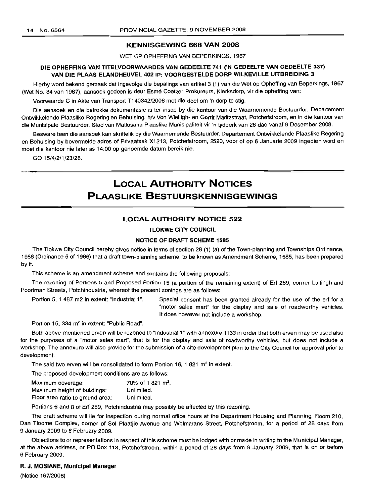## KENNISGEWING 668 VAN 2008

WET OP OPHEFFING VAN BEPERKINGS, 1967

## DIE OPHEFFING VAN TITELVOORWAARDES VAN GEDEELTE 741 ('N GEDEELTE VAN GEDEELTE 337) VAN DIE PLAAS ELANDHEUVEL 402 IP: VOORGESTELDE DORP WILKEVILLE UITBREIDING 3

Hierby word bekend gemaak dat ingevolge die bepalings van artikel3 (1) van die Wet op Opheffing van Beperkings, 1967 (Wet No. 84 van 1967), aansoek gedoen is deur Esmé Coetzer Prokureurs, Klerksdorp, vir die opheffing van:

Voorwaarde C in Akte van Transport T140342/2006 met die doel om 'n dorp te stig.

Die aansoek en die betrokke dokumentasie is ter insae by die kantoor van die Waarnemende Bestuurder, Departement Ontwikkelende Plaaslike Regering en Behuising, h/v Von Wielligh- en Gerrit Maritzstraat, Potchefstroom, en in die kantoor van die Munisipale Bestuurder, Stad van Matlosana Plaaslike Munisipaliteit vir 'n tydperk van 28 dae vanaf 9 Desember 2008.

Besware teen die aansoek kan skriftelik by die Waarnemende Bestuurder, Departement Ontwikkelende Plaaslike Regering en Behuising by bovermelde adres of Privaatsak X1213, Potchefstroom, 2520. voor of op 6 Januarie 2009 ingedien word en moet die kantoor nie later as 14:00 op genoemde datum bereik nie.

GO 15/4/2/1/23/28.

## **LOCAL AUTHORITY NOTICES** PLAASLIKE BESTUURSKENNISGEWINGS

## LOCAL AUTHORITY NOTICE 522

TLOKWE CITY COUNCIL

## NOTICE OF DRAFT SCHEME 1585

The Tlokwe City Council hereby gives notice in terms of section 28 (1) (a) of the Town-planning and Townships Ordinance, 1986 (Ordinance 5 of 1986) that a draft town-planning scheme, to be known as Amendment Scheme, 1585, has been prepared by it.

This scheme is an amendment scheme and contains the following proposals:

The rezoning of Portions 5 and Proposed Portion 15 (a portion of the remaining extent) of Ert 289, corner Luitingh and Poortman Streets, Potchindustria, whereof the present zonings are as follows:

Portion 5, 1 487 m2 in extent: "Industrial 1". Special consent has been granted already for the use of the erf for a "motor sales mart" for the display and sale of roadworthy vehicles. It does however not include a workshop.

Portion 15, 334 m<sup>2</sup> in extent: "Public Road".

Both above-mentioned erven will be rezoned to "Industrial 1" with annexure 1133 in order that both erven may be used also for the purposes of a "motor sales mart", that is for the display and sale of roadworthy vehicles, but does not include a workshop. The annexure will also provide for the submission of a site development plan to the City Council for approval prior to development.

The said two erven will be consolidated to form Portion 16, 1 821  $m<sup>2</sup>$  in extent.

The proposed development conditions are as follows:

| Maximum coverage:                | 70% of 1821 m <sup>2</sup> . |
|----------------------------------|------------------------------|
| Maximum height of buildings:     | Unlimited.                   |
| Floor area ratio to ground area: | Unlimited.                   |

Portions 6 and 8 of Ert 289, Potchindustria may possibly be affected by this rezoning.

The draft scheme will lie for inspection during normal office hours at the Department Housing and Planning, Room 210, Dan Tloome Complex, corner of Sol Plaatjie Avenue and Wolmarans Street, Potchefstroom, for a period of 28 days from 9 January 2009 to 6 February 2009.

Objections to or representations in respect of this scheme must be lodged with or made in writing to the Municipal Manager, at the above address, or PO Box 113, Potchefstroom, within a period of 28 days from 9 January 2009, that is on or before 6 February 2009.

#### R. J. MOSIANE, Municipal Manager

(Notice 167/2008)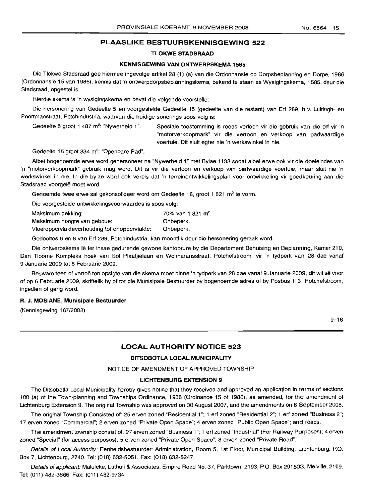## **PLAASLIKE BESTUURSKENNISGEWING** 522

## TLOKWE STADSRAAD

## KENNISGEWING VAN ONTWERPSKEMA 1585

Die Tlokwe Stadsraad gee hiermee ingevolge artikel 28 (1) (a) van die Ordonnansie op Dorpsbeplanning en Dorpe, 1986 (Ordonnansie 15 van 1986), kennis dat 'n ontwerpdorpsbeplanningskema, bekend te staan as Wysigingskema, 1585, deur die Stadsraad, opgestel is.

Hierdie skema is 'n wysigingskema en bevat die volgende voorstelle:

Die hersonering van Gedeelte 5 en voorgestelde Gedeelte 15 (gedeelte van die restant) van Ert 289, h.v. Luitingh- en Poortmanstraat, Potchindustria, waarvan die huidige sonerings soos volg is:

Gedeelte 5 groot 1 487 m<sup>2</sup>: "Nywerheid 1".

Spesiale toestemming is reeds verleen vir die gebruik van die erf vir 'n "motorverkoopmark" vir die vertoon en verkoop van padwaardige voertuie. Dit sluit egter nie 'n werkswinkel in nie.

Gedeelte 15 groot 334 m<sup>2</sup>: "Openbare Pad".

Albei boqenoernde erwe word gehersoneer na "Nywerheid 1" met Bylae 1133 sodat albei erwe ook vir die doeleindes van 'n "motorverkoopmark" gebruik mag word. Dit is vir die vertoon en verkoop van padwaardige voertuie, maar sluit nie 'n werkswinkel in nie. In die bylae word ook vereis dat 'n terreinontwikkelingsplan voor ontwikkeling vir goedkeuring aan die Stadsraad voorgelê moet word.

Genoemde twee erwe sal gekonsolideer word om Gedeelte 16, groot 1 821 m<sup>2</sup> te vorm.

Die voorgestelde ontwikkelingsvoorwaardes is soos volg:

| Maksimum dekking:                              | 70% van 1 821 m <sup>2</sup> . |
|------------------------------------------------|--------------------------------|
| Maksimum hoogte van geboue:                    | Onbeperk.                      |
| Vloeroppervlakteverhouding tot erfoppervlakte: | Onbeperk.                      |

Gedeeltes 6 en 8 van Ert 289, Potchindustria, kan moontlik deur die hersonering geraak word.

Die ontwerpskema lê ter insae gedurende gewone kantoorure by die Departement Behuising en Beplanning, Kamer 210, Dan Tloome Kompleks hoek van Sol Plaatjielaan en Wolmaransstraat, Potchefstroom, vir 'n tydperk van 28 dae vanaf 9 Januarie 2009 tot 6 Februarie 2009.

Besware teen of vertoë ten opsigte van die skema moet binne 'n tydperk van 28 dae vanaf 9 Januarie 2009, dit wil sê voor of op 6 Februarie 2009, skriftelik by of tot die Munisipale Bestuurder by bogenoemde adres of by Posbus 113, Potchefstroom, ingedien of gerig word.

## R. J. MOSIANE, Munisipale Bestuurder

(Kennisgewing 167/2008)

9-16

## **LOCAL AUTHORITY NOTICE** 523

## DITSOBOTLA LOCAL MUNICIPALITY

NOTICE OF AMENDMENT OF APPROVED TOWNSHIP

## LICHTENBURG EXTENSION 9

The Ditsobotla Local Municipality hereby gives notice that they received and approved an application in terms of sections 100 (a) of the Town-planning and Townships Ordinance, 1986 (Ordinance 15 of 1986), as amended, for the amendment of Lichtenburg Extension 9. The original Township was approved on 30 August 2007, and the amendments on 8 September 2008.

The original Township Consisted of: 25 erven zoned "Residential 1"; 1 ert zoned "Residential 2"; 1 ert zoned "Business 2"; 17 erven zoned "Commercial"; 2 erven zoned "Private Open Space"; 4 erven zoned "Public Open Space"; and roads.

The amendment township consist of: 97 erven zoned "Business 1"; 1 ert zoned "Industrial" (For Railway Purposes); 4 erven zoned "Special" (for access purposes); 5 erven zoned "Private Open Space"; 8 erven zoned "Private Road".

Details of Local Authority: Eenheidsbestuurder: Administration, Room 5, 1st Floor, Municipal Building, Lichtenburg; P.O. Box 7, Lichtenburg, 2740. Tel: (018) 632-5051. Fax: (018) 632-5247.

Details of applicant: Maluleke, Luthuli & Associates, Empire Road No. 37, Parktown, 2193; P.O. Box 291803, Melville, 2109. Tel: (011) 482-3666. Fax: (011) 482-9734.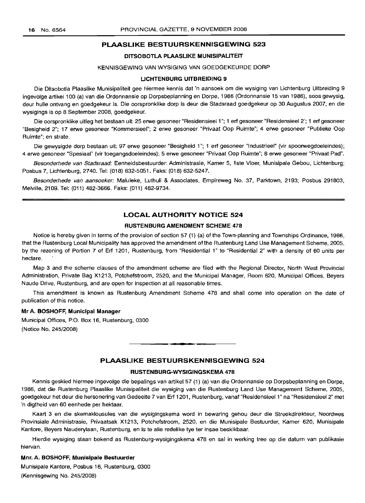## PLAASLIKE BESTUURSKENNISGEWING 523

## DITSOBOTLA PLAASLIKE MUNISIPALITEIT

## KENNISGEWING VAN WYSIGING VAN GOEDGEKEURDE DORP

## LICHTENBURG UITBREIDING 9

Die Ditsobotla Plaaslike Munisipaliteit gee hiermee kennis dat 'n aansoek om die wysiging van Uchtenburg Uitbreiding 9 ingevolge artikel 100 (a) van die Ordonnansie op Dorpsbeplanning en Dorpe, 1986 (Ordonnansie 15 van 1986), 5005 gewysig, deur hulle ontvang en goedgekeur is. Die oorspronklike dorp is deur die Stadsraad goedgekeur op 30 Augustus 2007, en die wysigings is op 8 September 2008, goedgekeur.

Die oorspronklike uitleg het bestaan uit: 25 erwe gesoneer "Residensieel1 "; 1 erf gesoneer "Residensieel 2'; 1 erf gesoneer "Besigheid 2"; 17 erwe gesoneer "Kommersieel"; 2 erwe gesoneer "Privaat Oop Ruimte"; 4 erwe gesoneer "Publieke Oop Ruimte"; en strate.

Die gewysigde dorp bestaan uit: 97 erwe gesoneer "Besigheid 1"; 1 erf gesoneer "Industrieel" (vir spoorwegdoeleindes); 4 erwe gesoneer "Spesiaal" (vir toegangsdoeleindes); 5 erwe gesoneer "Privaat Oop Ruimte"; 8 erwe gesoneer "Privaat Pad".

Besonderhede van Stadsraad: Eenheidsbestuurder: Administrasie, Kamer 5, 1ste Vloer, Munisipale Gebou, Lichtenburg; Posbus 7, Lichtenburg, 2740. Tel: (018) 632-5051. Faks: (018) 632-5247.

Besonderhede van aansoeker: Maluleke, Luthuli & Associates, Empireweg No. 37, Parktown, 2193; Posbus 291803, Melville, 2109. Tel: (011) 482-3666. Faks: (011) 482-9734.

## LOCAL AUTHORITY NOTICE 524

#### RUSTENBURG AMENDMENT SCHEME 478

Notice is hereby given in terms of the provision of section 57 (1) (a) of the Town-planning and Townships Ordinance, 1986, that the Rustenburg Local Municipality has approved the amendment of the Rustenburg Land Use Management Scheme, 2005, by the rezoning of Portion 7 of Erf 1201, Rustenburg, from "Residential 1" to "Residential 2" with a density of 60 units per hectare.

Map 3 and the scheme clauses of the amendment scheme are filed with the Regional Director, North West Provincial Administration, Private Bag X1213, Potchefstroom, 2520, and the Municipal Manager, Room 620, Municipal Offices, Beyers Naude Drive, Rustenburg, and are open for inspection at all reasonable times.

This amendment is known as Rustenburg Amendment Scheme 478 and shall come into operation on the date of publication of this notice.

#### Mr A. BOSHOFF, Municipal Manager

Municipal Offices, P.O. Box 16, Rustenburg, 0300 (Notice No. 245/2008)

## PLAASLIKE BESTUURSKENNISGEWING 524

.**- .**

#### RUSTENBURG-WVSIGINGSKEMA 478

Kennis geskied hiermee ingevolge die bepalings van artikel 57 (1) (a) van die Ordonnansie op Dorpsbeplanning en Dorpe, 1986, dat die Rustenburg Plaaslike Munisipaliteit die wysiging van die Rustenburg Land Use Management Scheme, 2005, goedgekeur het deur die hersonering van Gedeelte 7 van Erf 1201, Rustenburg, vanaf "Residensieel 1" na "Residensieel 2" met 'n digtheid van 60 eenhede per hektaar.

Kaart 3 en die skemaklousules van die wysigingskema word in bewaring gehou deur die Streekdirekteur, Noordwes Provinsiale Administrasie, Privaatsak X1213, Potchefstroom, 2520, en die Munisipale Bestuurder, Kamer 620, Munisipale Kantore, Beyers Nauderylaan, Rustenburg, en is te aile redelike tye ter insae beskikbaar.

Hierdie wysiging staan bekend as Rustenburg-wysigingskema 478 en sal in werking tree op die datum van publikasie hiervan.

## Mnr. A. BOSHOFF, Munisipale Bestuurder

Munisipale Kantore, Posbus 16, Rustenburg, 0300 (Kennisgewing No. 245/2008)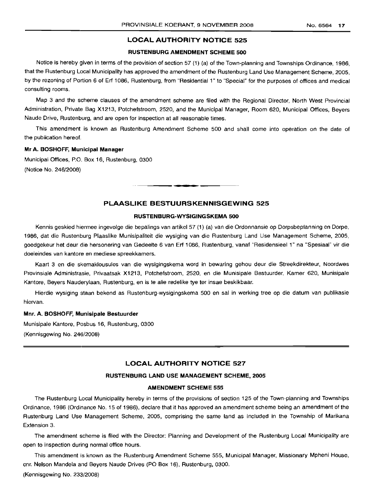## LOCAL AUTHORITY NOTICE 525

## RUSTENBURG AMENDMENT SCHEME 500

Notice is hereby given in terms of the provision of section 57 (1) (a) of the Town-planning and Townships Ordinance, 1986, that the Rustenburg Local Municipality has approved the amendment of the Rustenburg Land Use Management Scheme, 2005, by the rezoning of Portion 6 of Erf 1086, Rustenburg, from "Residential 1" to "Special" for the purposes of offices and medical consulting rooms.

Map 3 and the scheme clauses of the amendment scheme are filed with the Regional Director, North West Provincial Administration, Private Bag X1213, Potchefstroom, 2520, and the Municipal Manager, Room 620, Municipal Offices, Beyers Naude Drive, Rustenburg, and are open for inspection at all reasonable times.

This amendment is known as Rustenburg Amendment Scheme 500 and shall come into operation on the date of the publication hereof.

## Mr A. BOSHOFF, Municipal Manager

Municipal Offices, P.O. Box 16, Rustenburg, 0300 (Notice No. 246/2008)

## PLAASLIKE BESTUURSKENNISGEWING 525

**. -**

#### RUSTENBURG-WYSIGINGSKEMA 500

Kennis geskied hiermee ingevolge die bepalings van artikel 57 (1) (a) van die Ordonnansie op Dorpsbeplanning en Dorpe, 1986, dat die Rustenburg Plaaslike Munisipaliteit die wysiging van die Rustenburg Land Use Management Scheme, 2005, goedgekeur het deur die hersonering van Gedeelte 6 van Erf 1086, Rustenburg, vanaf "Residensieel 1" na "Spesiaal" vir die doeleindes van kantore en mediese spreekkamers.

Kaart 3 en die skemaklousules van die wysigingskema word in bewaring gehou deur die Streekdirekteur, Noordwes Provinsiale Administrasie, Privaatsak X1213, Potchefstroom, 2520, en die Munisipale Bestuurder, Kamer 620, Munisipale Kantore, Beyers Nauderylaan, Rustenburg, en is te aile redelike tye ter insae beskikbaar.

Hierdie wysiging staan bekend as Rustenburg-wysigingskema 500 en sal in werking tree op die datum van publikasie hiervan.

#### Mnr. A. BOSHOFF, Munisipale Bestuurder

Munisipale Kantore, Posbus 16, Rustenburg, 0300

(Kennisgewing No. 246/2008)

## LOCAL AUTHORITY NOTICE 527

#### RUSTENBURG LAND USE MANAGEMENT SCHEME, 2005

## **AMENDMENT SCHEME 555**

The Rustenburg Local Municipality hereby in terms of the provisions of section 125 of the Town-planning and Townships Ordinance, 1986 (Ordinance No. 15 of 1986), declare that it has approved an amendment scheme being an amendment of the Rustenburg Land Use Management Scheme, 2005, comprising the same land as included in the Township of Marikana Extension 3.

The amendment scheme is filed with the Director: Planning and Development of the Rustenburg Local Municipality are open to inspection during normal office hours.

This amendment is known as the Rustenburg Amendment Scheme 555, Municipal Manager, Missionary Mpheni House, cnr, Nelson Mandela and Beyers Naude Drives (PO Box 16), Rustenburg, 0300.

(Kennisgewing No. 233/2008)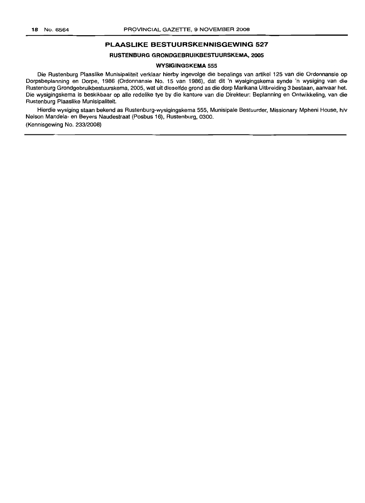## **PLAASLIKE BESTUURSKENNISGEWING 527**

## **RUSTENBURG GRONDGEBRUIKBESTUURSKEMA, 2005**

#### **WYSIGINGSKEMA 555**

Die Rustenburg Plaaslike Munisipaliteit verklaar hierby ingevolge die bepalings van artikel 125 van die Ordonnansie op Dorpsbeplanning en Dorpe, 1986 (Ordonnansie No. 15 van 1986), dat dit 'n wysigingskema synde 'n wysiging van die Rustenburg Grondgebruikbestuurskema, 2005, wat uit dieselfde grond as die dorp Marikana Uitbreiding 3 bestaan, aanvaar het. Die wysigingskema is beskikbaar op aile redelike tye by die kantore van die Direkteur: Beplanning en Ontwikkeling, van die Rustenburg Plaaslike Munisipaliteit.

Hierdie wysiging staan bekend as Rustenburg-wysigingskema 555, Munisipale Bestuurder, Missionary Mpheni House, h/v Nelson Mandela- en Beyers Naudestraat (Posbus 16), Rustenburg, 0300. (Kennisgewing No. 233/2008)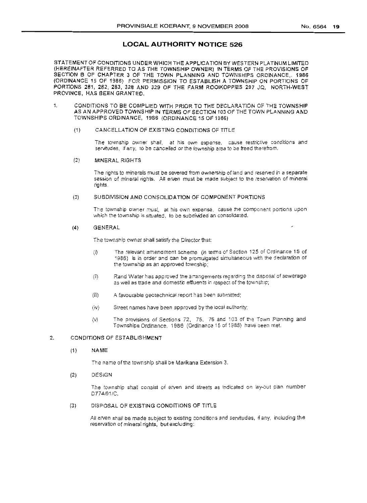## **LOCAL AUTHORITY NOTICE 526**

STATEMENT OF CONDITIONS UNDER WHICH THE APPLICATION BY WESTERN PLATINUM LlMlTED (HEREINAFTER REFERRED TO AS THE TOWNSHIP OWNER) IN TERMS OF THE PROVISIONS OF SECTION B OF CHAPTER 3 OF THE TOWN PLANNING AND TOWNSHIPS ORDINANCE, 1986 (ORDINANCE 15 OF 1986) FOR PERMISSION TO ESTABLISH A TOWNSHIP ON PORTIONS OF PORTIONS 281, 282, 283, 328 AND 329 OF THE FARM ROOIKOPPIES 297 JQ, NoRTH·WEST PROVINCE, HAS BEEN GRANTED.

1. CONDITIONS TO BE COMPLIED WITH PRIOR TO THE DECLARATION OF THE TOWNSHIP AS AN APPROVED TOWNSHIP IN TERMS OF SECTION 103 OF THE TOWN PLANNING AND TDWNSHIPS ORDINANCE, 1986 (ORDINANCE 1S Of 1986)

#### (1) CANCELLATION OF EXISTING CONDITiONS OF TITLE

The township owner shall, at his own expense, cause restrictive conditions and servitudes, if any, to be cancelled *or*the township area <sup>10</sup> be freed therefrom.

## (2) MINERAL RIGHTS

The rights to minerals must be severed from ownership of land and reserved in a separate session of mineral rights. All erven must be made subject to the reservation of mineral rights.

#### (3) SUBDIVISION AND CONSOLIDATION OF COMPONENT PORTIONS

The township owner musi, at his own expense, cause the component portions upon which the township is situated, to be subdivided an consolidated,

#### (4) GENERAL

The township owner shall satisfy the Director that:

- (0 The relevant amendment scheme (in terms of Section 125 of Ordinance 15 of 1986) is in order and can be promulgated simultaneous with the declaration of the township as an approved township;
- (ii) Rand Water has approved the arrangements regarding the disposal of sewerage as well as trade and domestic effluents in respect of the township;
- (iii) A favourable geotechnical report has been submitted;
- (iv) Street names have been approved by the local authority;
- (v) The provisions of Sections 72, 75, 76 and 103 of the Town Planning and Townships Ordinance, 1956 (Ordlnanca 15 of 1986) have been met.

## 2. CONDITIONS OF ESTABLISHMENT

(1) NAME

The name of the township shall be Marikana Extension 3.

(2) DESIGN

The township shall consist of erven and streets as indicated on lay-ollt plan number D774/01/C.

## (3) DISPOSAL OF EXISTING CONDITIONS OF TITLE

All erven shail be made subject to existing conditions and servitudes, if any, including the reservation of mineral rights, but excluding: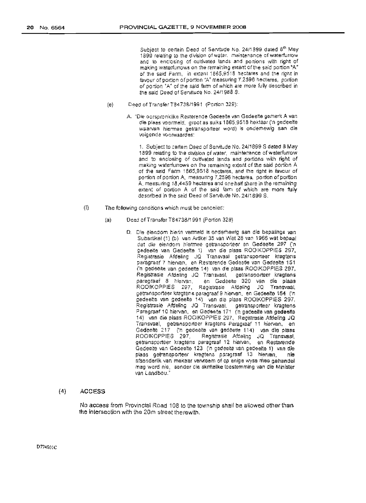Subject to certain Deed of Servitude No. 24/1899 dated 8<sup>th</sup> May. 1899 relating to the division of water. maintenance of waterturrow and to enclosing of cultivated lands and portions with right of making waterfurrows on the remaining extent of the said portion "A" of the said Farm, in extent 1865,9518 hectares and the right in favour of portion of portion "A" measuring 7.2596 hectares, portion of portion "A" of the said farm of which are more fulty described in the said Deed of Servitude No. *24/1988* S.

- (e) Deed of Transfer T84738/1991 (Portion 329):
	- A. "Die oorspronklike Resterende Gedeelte van Gedeelte gemerk A van die plaas voormeld, groot as SUlks 1865,9518 hektaar ('n gedeelte waarvan hierrnee getransporteer word) is onderhewig san die volgende voorwaardes:

1, SUbject to certain Deed of SeNitude No. 24/1899 S dated 8 May 1899 relating to the division of water, maintenance of waterfurrow and to enclosing of cultivated lands and portions with right of making waterfurrows on the remaining extent of the said portion A of the said Farm 1865,9518 hectares, and the right in favour of portion of portion A, measuring 7,2596 hectares, portion of portion A. measuring 18,4459 hectares and one half share in the remaining extent of portion A of the said farm of which are more fully described in the said Deed of Servitude No. 24/1899 S.

- (ii) The following conditions which must be cancelled:
	- (a) Deed of Transfer T84738/1991 (Portion 329)
		- D. Die eiendom hierin vermeld is onderhewig aan die bepalings van Subartikel (1) (b) van Artlkel 35 van Wet 28 van 1966 wat bepaal dat die eiendom hiermee getransporteer en Gedeette 297 ('n gedeelte van Gedeelte 1) Ivan die plaas ROOIKOPPIES 297, Registrasie Afdeling JQ 'fransvaar getransporteer kragtens paragraaf 7 hiervan, en Resterende Gedeetle van Gedeelte 151 ('n gedeelte van gedeelte 14) van die ptaas ROQIKOPP1ES 297, Registrasie Afdeling JQ Transvaal, getransporteer kragtens<br>paragraaf 8 hiervan, i en Gedeelte 320 van die plaas en Gedeelte 320 van die plaas ROOIKOPPIES 297, Registrasie Afdeling JQ Transvaal, getransporteer kragtens pareqraaf 9 hiervan. en Gedeelte 164 ('n gedeelte van gedeelte 14) van die plaas ROOIKOPPIES 297, Registrasie Afdeling JQ Transvaal, getransporteer kraptens Paragraaf 10 hiervan, en Gedeelte 171 ('n gedeelte van gedeelte 14) van die plaas ROOIKOPPfES 297, Registrasie Afdeling JQ Transvaal, getransporteer kragtens Paragraaf 11 hiervan, en Gedeelte 217 ('n gedeelte van gedeette 114) van die plaas<br>ROOIKOPPIES 297, Registrasie Afdeling JQ Transvaal, Registrasie Afdeling JQ Transvaal, getransporteer kragtens paragraaf 12 hiervan, en Resterende Gedeelte van Gedeetre 123 ('n gedeelte van gedeelte 1) van d.ie plaas getransporteer kraqtens paragraaf 13 hlervan, nie afsonderlik van mekaar vervreem of op enige wyse mee gehandel mag word nie, sander die skriftelike toestemming van die Minister van Landbou."

## (4) ACCESS

No access from Provincial Road 108 to the townsnip shall be allowed other than. the intersection with the 20m street therewith. .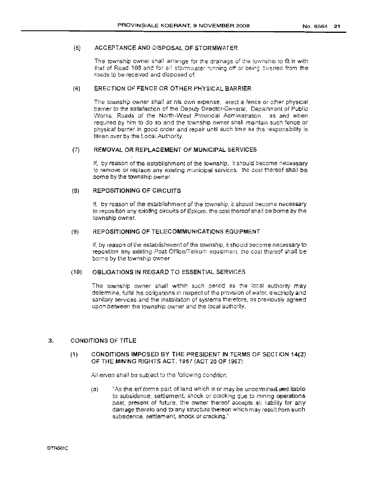## (5) ACCEPTANCE AND DISPOSAL OF STORMWATER

The township owner shall arrange for the drainage of the township to fit in with that of Road 108 and for all stormwater running off or being diverted from the roads to be received and disposed of.

## (6) ERECTION OF FENCE OR OTHER PHYSICAL BARRIER

The township owner shall at his own expense, erect a fence or other physical barrier to the satisfaction of the Deputy Director-General, Department of Public Works: Roads of the North-West Provincial Administration, as and when required by him to do so and the township owner shall maintain such fence or physical barrier in good order and repair until such time as this responsibility is taken over by the local Authority.

## (7) REMOVAL OR REPLACEMENT OF MUNICIPAL SERVICES

If, by reason of the establishment of the township, it should become necessary to remove or replace any existing municipal services, the cost thereof shall be borne by the township owner.

## (8) REPOSITIONING OF CIRCUITS

If, by reason of the establishment of the township, it should become necessary to reposition any existing circuits of Eskorn, the cost thereof shall be borne by the township owner.

## (9) REPOSITIONING OF TELECOMMUNICATIONS EQUIPMENT

If, by reason of the establishment of the township, it should become necessary to reposition any existing Post OfficefTelkom equipment. the cost thereof shall be borne by the township owner

## (101 08L1GATIONS IN REGARD TO ESSENTIAL SERVICES

The township owner shall within such period as the local authority may determine, fulfill his obfigations in respect of the provision of water, electricity and sanitary services and the installation of systems therefore, as previously agreed upon between the township owner and the local authority.

## 3. CONDITIONS OF TITLE

## (1) CONDITIONS IMPOSED BY THE PRESIDENT IN TERMS OF SECTiON 14(2) OF THE MINING RIGHTS ACT, 1967 (ACT 20 OF 1967)

All erven shall be subject to the following condition:

(a) "As this erf forms part of land which is or may be undermined and liable to SUbsidence, settlement, shock or cracking due to mining operations past, present of future. the owner thereof accepts all liability for any damage thereto and to any structure thereon which may result from such subsidence, settlement, shock or cracking."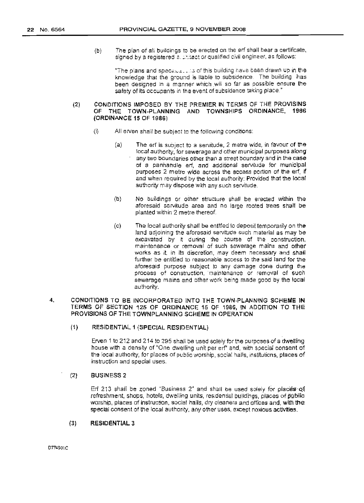(b) The plan of all buildings to be erected on the erf shall bear a certificate, signed by a registered a, philact or qualified civil engineer, as follows:

"The plans and specifical this of this building have been drawn up in the knowledge that the ground is liable to subsidence The building has been designed in a manner which ,will so far as possible ensure the safety of its occupants in the event of subsidence taking place."

## (2) CONDITIONS IMPOSED BY THE PREMIER IN TERMS OF THE PROVISINS OF THE TOWN~PLANNING AND TOWNSHIPS ORDINANCE, 1966 (ORDINANCE 15 OF 1986)

- $(i)$  All erven shall be subject to the following conditions:
	- $(a)$  The erf is subject to a servitude, 2 metre wide, in favour of the local authority, for sewerage and other municipal purposes along any two boundaries other than a street boundary and in the case of a panhandle erf, and additional servitude for municipal purposes 2 metre wide across the access portion of the erf, if and when required by the local authority: Provided that the local authority may dispose with any such servitude.
	- (b) No buildings or other structure shall be erected within the aforesaid servitude area and no large rooted trees shall be planted within 2 metre thereof
	- (c) The local authority shall be entitled to deposit temporarily on the land adjoining the aforesaid servitude such material as may be excavated by it during the course of the construction, maintenance or removal of such sewerage mains and other works as it, in its discretion, may deem necessary and shall further be entitled to reasonable access to the said land for the aforesaid purpose subject to any damage done during the process of construction, maintenance or removal of such sewerage mains and other work being made good by the local authority,

## 4. CONDITIONS TO BE INCORPORATED INTO THE TOWN-PLANNING SCHEME **IN** TERMS OF SECTION 125 OF ORDINANCE 15 OF 1986, IN ADDITION TO THE PROVISIONS OF THE TOWNPLANN1NG SCHEME IN OPERATION

(1) RESIDENTIAL 1 (SPECIAL RESIDENTIAL)

Erven 1 to 212 and 214 to 295 shall be used solely foe the purposes of a dwelling house with a density of "One dwelling unit per erf' and, with special consent of the local authority, for places of public worship, social halls, institutions, places of instruction and special uses,

## (2) BUSINESS 2

Erf 213 shall be zoned "Business 2" and shall be used solely for places of refreshment, shops, hotels, dwelling units, residential buildings, places of public worship, places of instruction. social halls, dry cleaners and offices and, with the, special consent of the local authority, any other uses, except noxious activities.

## (3) RESIDENTIAL 3

D774SQIC